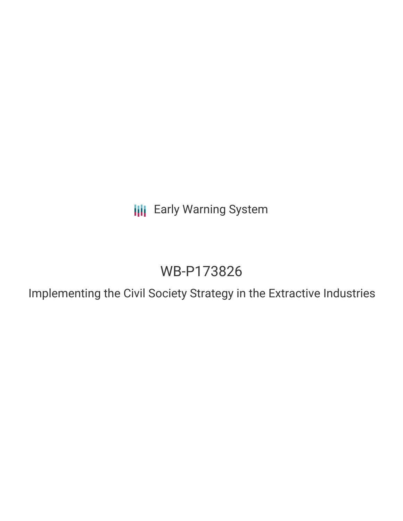**III** Early Warning System

# WB-P173826

Implementing the Civil Society Strategy in the Extractive Industries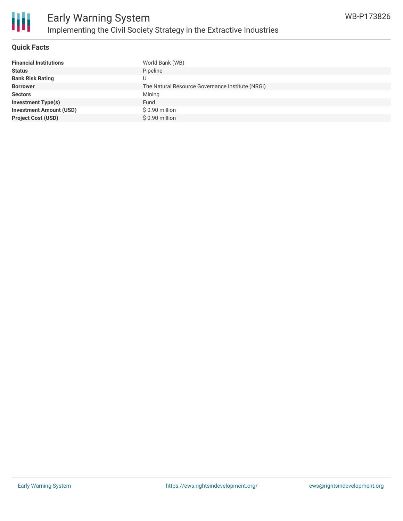

### **Quick Facts**

| <b>Financial Institutions</b>  | World Bank (WB)                                  |
|--------------------------------|--------------------------------------------------|
| <b>Status</b>                  | Pipeline                                         |
| <b>Bank Risk Rating</b>        |                                                  |
| <b>Borrower</b>                | The Natural Resource Governance Institute (NRGI) |
| <b>Sectors</b>                 | Mining                                           |
| <b>Investment Type(s)</b>      | Fund                                             |
| <b>Investment Amount (USD)</b> | \$0.90 million                                   |
| <b>Project Cost (USD)</b>      | \$0.90 million                                   |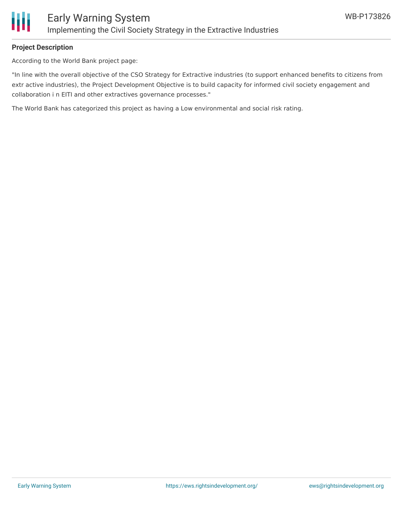

# **Project Description**

According to the World Bank project page:

"In line with the overall objective of the CSO Strategy for Extractive industries (to support enhanced benefits to citizens from extr active industries), the Project Development Objective is to build capacity for informed civil society engagement and collaboration i n EITI and other extractives governance processes."

The World Bank has categorized this project as having a Low environmental and social risk rating.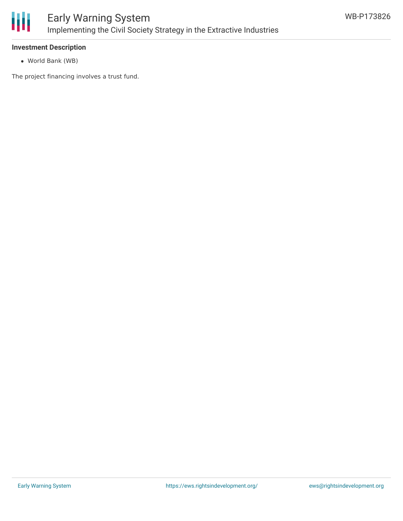

# **Investment Description**

World Bank (WB)

The project financing involves a trust fund.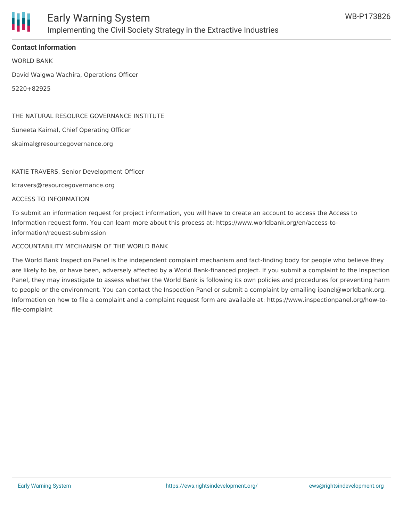

# **Contact Information**

WORLD BANK

David Waigwa Wachira, Operations Officer

5220+82925

THE NATURAL RESOURCE GOVERNANCE INSTITUTE

Suneeta Kaimal, Chief Operating Officer

skaimal@resourcegovernance.org

#### KATIE TRAVERS, Senior Development Officer

ktravers@resourcegovernance.org

ACCESS TO INFORMATION

To submit an information request for project information, you will have to create an account to access the Access to Information request form. You can learn more about this process at: https://www.worldbank.org/en/access-toinformation/request-submission

#### ACCOUNTABILITY MECHANISM OF THE WORLD BANK

The World Bank Inspection Panel is the independent complaint mechanism and fact-finding body for people who believe they are likely to be, or have been, adversely affected by a World Bank-financed project. If you submit a complaint to the Inspection Panel, they may investigate to assess whether the World Bank is following its own policies and procedures for preventing harm to people or the environment. You can contact the Inspection Panel or submit a complaint by emailing ipanel@worldbank.org. Information on how to file a complaint and a complaint request form are available at: https://www.inspectionpanel.org/how-tofile-complaint